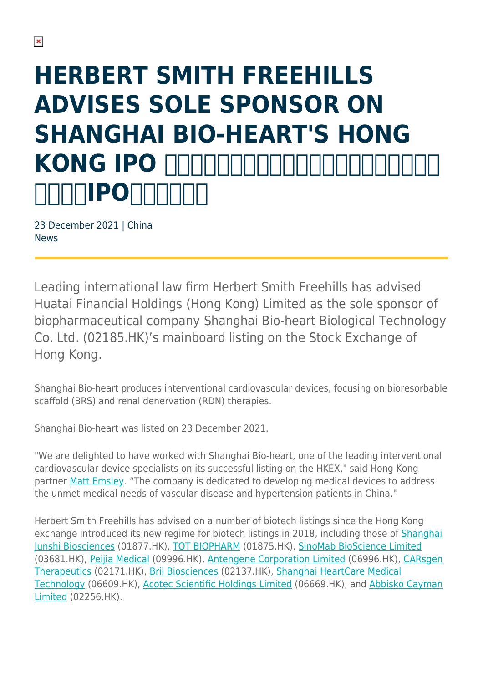# **HERBERT SMITH FREEHILLS ADVISES SOLE SPONSOR ON SHANGHAI BIO-HEART'S HONG** KONG IPO **NATIONALITING NIPONIL**

23 December 2021 | China News

Leading international law firm Herbert Smith Freehills has advised Huatai Financial Holdings (Hong Kong) Limited as the sole sponsor of biopharmaceutical company Shanghai Bio-heart Biological Technology Co. Ltd. (02185.HK)'s mainboard listing on the Stock Exchange of Hong Kong.

Shanghai Bio-heart produces interventional cardiovascular devices, focusing on bioresorbable scaffold (BRS) and renal denervation (RDN) therapies.

Shanghai Bio-heart was listed on 23 December 2021.

"We are delighted to have worked with Shanghai Bio-heart, one of the leading interventional cardiovascular device specialists on its successful listing on the HKEX," said Hong Kong partner [Matt Emsley.](https://www.herbertsmithfreehills.com/our-people/matthew-emsley) "The company is dedicated to developing medical devices to address the unmet medical needs of vascular disease and hypertension patients in China."

Herbert Smith Freehills has advised on a number of biotech listings since the Hong Kong exchange introduced its new regime for biotech listings in 2018, including those of [Shanghai](https://www.herbertsmithfreehills.com/news/herbert-smith-freehills-advises-first-h-share-issuer-to-list-under-hong-kong-stock-exchanges-0) [Junshi Biosciences](https://www.herbertsmithfreehills.com/news/herbert-smith-freehills-advises-first-h-share-issuer-to-list-under-hong-kong-stock-exchanges-0) (01877.HK), [TOT BIOPHARM](https://www.herbertsmithfreehills.com/news/herbert-smith-freehills-advises-on-tot-biopharms-hong-kong-listing) (01875.HK), [SinoMab BioScience Limited](https://www.herbertsmithfreehills.com/news/herbert-smith-freehills-advises-on-second-hong-kong-pharma-ipo-in-less-than-one-week) (03681.HK), [Peijia Medical](https://www.herbertsmithfreehills.com/news/herbert-smith-freehills-advises-sponsors-on-peijia-medical%E2%80%99s-hk234-billion-hong-kong-ipo) (09996.HK), [Antengene Corporation Limited](https://www.herbertsmithfreehills.com/news/herbert-smith-freehills-advises-sponsors-on-antengene%E2%80%99s-hk26-billion-hong-kong-ipo) (06996.HK), [CARsgen](https://www.herbertsmithfreehills.com/news/herbert-smith-freehills-advises-sponsors-on-carsgen-therapeutics%E2%80%99-hk31-billion-hong-kong-ipo) [Therapeutics](https://www.herbertsmithfreehills.com/news/herbert-smith-freehills-advises-sponsors-on-carsgen-therapeutics%E2%80%99-hk31-billion-hong-kong-ipo) (02171.HK), [Brii Biosciences](https://www.herbertsmithfreehills.com/news/herbert-smith-freehills-advises-sponsors-on-brii-biosciences%E2%80%99-hk2483-billion-hong-kong-ipo) (02137.HK), [Shanghai HeartCare Medical](https://www.herbertsmithfreehills.com/news/herbert-smith-freehills-advises-on-shanghai-heartcare-medicals-hk113-billion-hong-kong-ipo) [Technology](https://www.herbertsmithfreehills.com/news/herbert-smith-freehills-advises-on-shanghai-heartcare-medicals-hk113-billion-hong-kong-ipo) (06609.HK), [Acotec Scientific Holdings Limited](https://www.herbertsmithfreehills.com/news/herbert-smith-freehills-advises-sponsors-on-acotec-scientific%E2%80%99s-hk1529-billion-hong-kong-ipo) (06669.HK), and [Abbisko Cayman](https://www.herbertsmithfreehills.com/news/herbert-smith-freehills-advises-sponsors-on-abbisko%E2%80%99s-hk1754-billion-hong-kong-ipo) [Limited](https://www.herbertsmithfreehills.com/news/herbert-smith-freehills-advises-sponsors-on-abbisko%E2%80%99s-hk1754-billion-hong-kong-ipo) (02256.HK).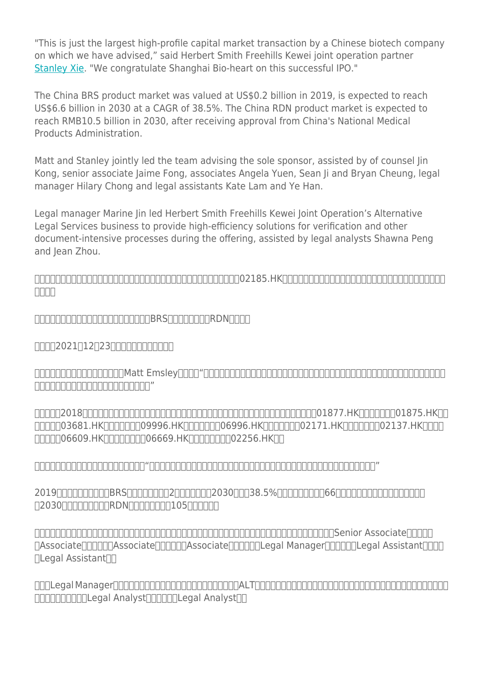"This is just the largest high-profile capital market transaction by a Chinese biotech company on which we have advised," said Herbert Smith Freehills Kewei joint operation partner [Stanley Xie.](https://www.herbertsmithfreehills.com/our-people/stanley-xie) "We congratulate Shanghai Bio-heart on this successful IPO."

The China BRS product market was valued at US\$0.2 billion in 2019, is expected to reach US\$6.6 billion in 2030 at a CAGR of 38.5%. The China RDN product market is expected to reach RMB10.5 billion in 2030, after receiving approval from China's National Medical Products Administration.

Matt and Stanley jointly led the team advising the sole sponsor, assisted by of counsel Jin Kong, senior associate Jaime Fong, associates Angela Yuen, Sean Ji and Bryan Cheung, legal manager Hilary Chong and legal assistants Kate Lam and Ye Han.

Legal manager Marine Jin led Herbert Smith Freehills Kewei Joint Operation's Alternative Legal Services business to provide high-efficiency solutions for verification and other document-intensive processes during the offering, assisted by legal analysts Shawna Peng and Jean Zhou.

 $\cap$ nnnnnnnnnnnnnnnnnnnnnnnnnnnnnnnnnnn $\cap$ nnnn $\cap$ a $\cap$  $\Box \Box \Box \Box$ 

 $\Box$ 00000000000000000000000008RS $\Box$ 000000RDN $\Box$ 00

 $\Pi\Pi\Pi2021$ [12[23]] $\Pi\Pi\Pi\Pi\Pi\Pi\Pi\Pi$ 

史密夫斐尔香港办公室合伙人艾迈修(Matt Emsley)表示:"百心安是介入式心血管装置领域的龙头公司之一,致力于解决中国血管疾病及高血压患者的未获满足医疗 ,  $\Box$ 

 $\Box$  $\Box$  $\Box$  $\Box$ 03681.HK $\Box$  $\Box$  $\Box$ 09996.HK $\Box$  $\Box$  $\Box$ 06996.HK $\Box$  $\Box$  $\Box$  $\Box$ 02171.HK $\Box$  $\Box$  $\Box$  $\Box$ 02137.HK $\Box$  $\Box$  $\Box$  $\Pi\Pi\Pi\Pi$ 06609.HK $\Pi\Pi\Pi\Pi\Pi$ 06669.HK $\Pi\Pi\Pi\Pi\Pi$ 

科伟史密夫斐尔联营办公室合伙人谢守德表示:"这是本所近期服务的又一笔中国生物科技公司登陆香港资本市场的交易。衷心向百心安表示祝贺。"

2019 FRAMERSE FRAMERING BRST FRAMERING FRAMERING STATEGERS STATEGERS FRAMERING FRAMERING STATEGERS TO THE TEST  $\Box$ 2030 $\Box$  $\Box$  $\Box$  $\Box$ RDN $\Box$  $\Box$  $\Box$  $\Box$  $\Box$  $\Box$  $\Box$  $\Box$ 

合伙人艾迈修和谢守德率领律师团队为此次上市独家保荐人提供法律服务。主要团队成员包括香港办公室资深顾问孔瑾、方靖颐(Senior Associate)、阮颖欣 TAssociate∏∏∏∏Associate∏∏∏∏Associate∏∏∏∏∏Legal Manager∏∏∏∏∏Legal Assistant∏∏∏  $\Box$ Legal Assistant $\Pi$ 

 $[ ] ] ] [ \underline{C} ] ] [ \underline{C} ] [ \underline{C} ] [ \underline{C} ] [ \underline{C} ] [ \underline{C} ] [ \underline{C} ] [ \underline{C} ] [ \underline{C} ] [ \underline{C} ] [ \underline{C} ] [ \underline{C} ] [ \underline{C} ] [ \underline{C} ] [ \underline{C} ] [ \underline{C} ] [ \underline{C} ] [ \underline{C} ] [ \underline{C} ] [ \underline{C} ] [ \underline{C} ] [ \underline{C} ] [ \underline{C} ] [ \underline{C} ] [ \underline{C} ] [ \underline{C} ] [ \underline{C} ] [ \underline{C} ] [ \underline{C} ] [ \underline{C} ] [ \underline{C$ hannan Legal Analyst<sup>a</sup>nnan Legal Analyst